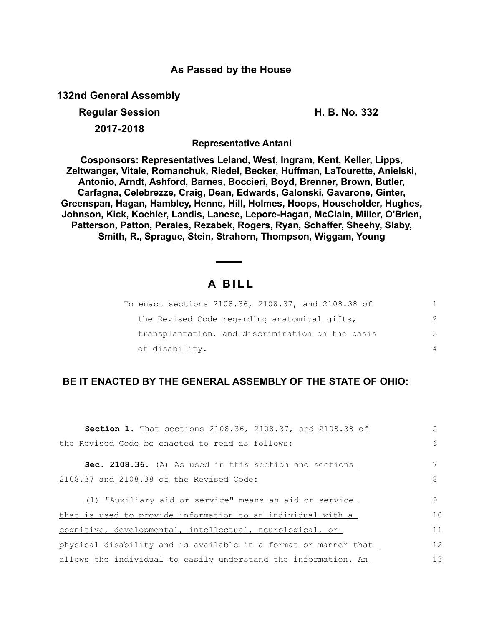## **As Passed by the House**

**132nd General Assembly**

## **Regular Session H. B. No. 332**

**2017-2018**

**Representative Antani**

**Cosponsors: Representatives Leland, West, Ingram, Kent, Keller, Lipps, Zeltwanger, Vitale, Romanchuk, Riedel, Becker, Huffman, LaTourette, Anielski, Antonio, Arndt, Ashford, Barnes, Boccieri, Boyd, Brenner, Brown, Butler, Carfagna, Celebrezze, Craig, Dean, Edwards, Galonski, Gavarone, Ginter, Greenspan, Hagan, Hambley, Henne, Hill, Holmes, Hoops, Householder, Hughes, Johnson, Kick, Koehler, Landis, Lanese, Lepore-Hagan, McClain, Miller, O'Brien, Patterson, Patton, Perales, Rezabek, Rogers, Ryan, Schaffer, Sheehy, Slaby, Smith, R., Sprague, Stein, Strahorn, Thompson, Wiggam, Young**

## **A B I L L**

| To enact sections 2108.36, 2108.37, and 2108.38 of |               |
|----------------------------------------------------|---------------|
| the Revised Code regarding anatomical gifts,       | $\mathcal{P}$ |
| transplantation, and discrimination on the basis   | 3             |
| of disability.                                     | 4             |

## **BE IT ENACTED BY THE GENERAL ASSEMBLY OF THE STATE OF OHIO:**

| <b>Section 1.</b> That sections 2108.36, 2108.37, and 2108.38 of | 5  |
|------------------------------------------------------------------|----|
| the Revised Code be enacted to read as follows:                  | 6  |
| <b>Sec. 2108.36.</b> (A) As used in this section and sections    |    |
| 2108.37 and 2108.38 of the Revised Code:                         | 8  |
| (1) "Auxiliary aid or service" means an aid or service           | 9  |
| that is used to provide information to an individual with a      | 10 |
| cognitive, developmental, intellectual, neurological, or         | 11 |
| physical disability and is available in a format or manner that  | 12 |
| allows the individual to easily understand the information. An   | 13 |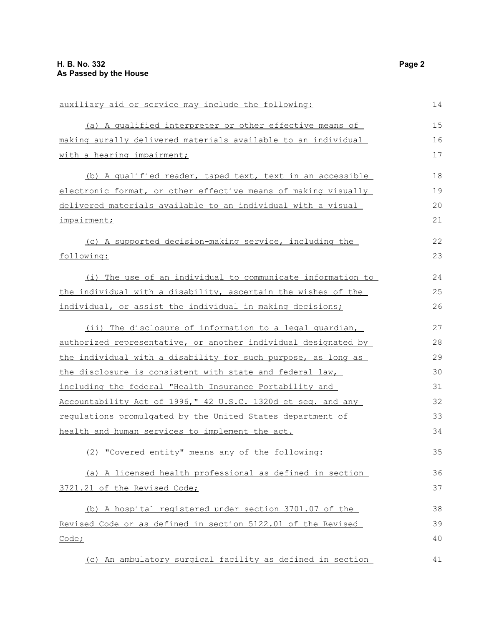| auxiliary aid or service may include the following:            | 14 |
|----------------------------------------------------------------|----|
| (a) A qualified interpreter or other effective means of        | 15 |
| making aurally delivered materials available to an individual  | 16 |
| with a hearing impairment;                                     | 17 |
| (b) A qualified reader, taped text, text in an accessible      | 18 |
| electronic format, or other effective means of making visually | 19 |
| delivered materials available to an individual with a visual   | 20 |
| impairment;                                                    | 21 |
| (c) A supported decision-making service, including the         | 22 |
| following:                                                     | 23 |
| (i) The use of an individual to communicate information to     | 24 |
| the individual with a disability, ascertain the wishes of the  | 25 |
| individual, or assist the individual in making decisions;      | 26 |
| (ii) The disclosure of information to a legal guardian,        | 27 |
| authorized representative, or another individual designated by | 28 |
| the individual with a disability for such purpose, as long as  | 29 |
| the disclosure is consistent with state and federal law,       | 30 |
| including the federal "Health Insurance Portability and        | 31 |
| Accountability Act of 1996," 42 U.S.C. 1320d et seq. and any   | 32 |
| regulations promulgated by the United States department of     | 33 |
| health and human services to implement the act.                | 34 |
| (2) "Covered entity" means any of the following:               | 35 |
| (a) A licensed health professional as defined in section       | 36 |
| 3721.21 of the Revised Code;                                   | 37 |
| (b) A hospital registered under section 3701.07 of the         | 38 |
| Revised Code or as defined in section 5122.01 of the Revised   | 39 |
| Code;                                                          | 40 |
| (c) An ambulatory surgical facility as defined in section      | 41 |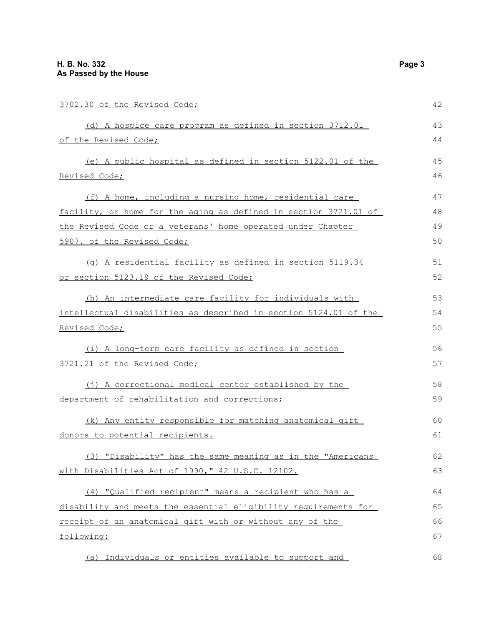| 3702.30 of the Revised Code;                                     | 42 |
|------------------------------------------------------------------|----|
| (d) A hospice care program as defined in section 3712.01         | 43 |
| of the Revised Code;                                             | 44 |
| (e) A public hospital as defined in section 5122.01 of the       | 45 |
| Revised Code;                                                    | 46 |
| (f) A home, including a nursing home, residential care           | 47 |
| facility, or home for the aging as defined in section 3721.01 of | 48 |
| the Revised Code or a veterans' home operated under Chapter      | 49 |
| 5907. of the Revised Code;                                       | 50 |
| (q) A residential facility as defined in section 5119.34         | 51 |
| or section 5123.19 of the Revised Code;                          | 52 |
| (h) An intermediate care facility for individuals with           | 53 |
| intellectual disabilities as described in section 5124.01 of the | 54 |
| Revised Code;                                                    | 55 |
| (i) A long-term care facility as defined in section              | 56 |
| 3721.21 of the Revised Code;                                     | 57 |
| (j) A correctional medical center established by the             | 58 |
| department of rehabilitation and corrections;                    | 59 |
| (k) Any entity responsible for matching anatomical gift          | 60 |
| donors to potential recipients.                                  | 61 |
| (3) "Disability" has the same meaning as in the "Americans       | 62 |
| with Disabilities Act of 1990," 42 U.S.C. 12102.                 | 63 |
| (4) "Qualified recipient" means a recipient who has a            | 64 |
| disability and meets the essential eligibility requirements for  | 65 |
| receipt of an anatomical gift with or without any of the         | 66 |

following:

(a) Individuals or entities available to support and

67

68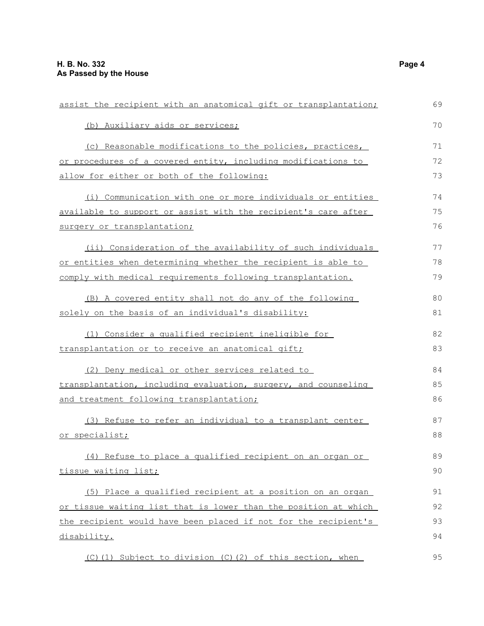| assist the recipient with an anatomical gift or transplantation; |    |
|------------------------------------------------------------------|----|
| (b) Auxiliary aids or services;                                  | 70 |
| (c) Reasonable modifications to the policies, practices,         | 71 |
| or procedures of a covered entity, including modifications to    | 72 |
| allow for either or both of the following:                       | 73 |
| (i) Communication with one or more individuals or entities       | 74 |
| available to support or assist with the recipient's care after   | 75 |
| surgery or transplantation;                                      | 76 |
| (ii) Consideration of the availability of such individuals       | 77 |
| or entities when determining whether the recipient is able to    | 78 |
| comply with medical requirements following transplantation.      | 79 |
| (B) A covered entity shall not do any of the following           | 80 |
| solely on the basis of an individual's disability:               | 81 |
| (1) Consider a qualified recipient ineligible for                | 82 |
| transplantation or to receive an anatomical gift;                | 83 |
| (2) Deny medical or other services related to                    | 84 |
| transplantation, including evaluation, surgery, and counseling   | 85 |
| and treatment following transplantation;                         | 86 |
| (3) Refuse to refer an individual to a transplant center         | 87 |
| or specialist;                                                   | 88 |
| (4) Refuse to place a qualified recipient on an organ or         | 89 |
| tissue waiting list;                                             | 90 |
| (5) Place a qualified recipient at a position on an organ        | 91 |
| or tissue waiting list that is lower than the position at which  | 92 |
| the recipient would have been placed if not for the recipient's  | 93 |
| disability.                                                      | 94 |
| (C)(1) Subject to division (C)(2) of this section, when          | 95 |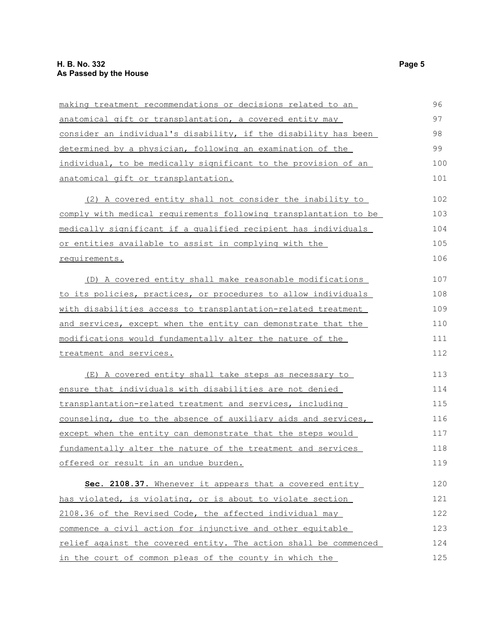| making treatment recommendations or decisions related to an      | 96  |
|------------------------------------------------------------------|-----|
| anatomical gift or transplantation, a covered entity may         | 97  |
| consider an individual's disability, if the disability has been  | 98  |
| determined by a physician, following an examination of the       | 99  |
| individual, to be medically significant to the provision of an   | 100 |
| anatomical gift or transplantation.                              | 101 |
| (2) A covered entity shall not consider the inability to         | 102 |
| comply with medical requirements following transplantation to be | 103 |
| medically significant if a qualified recipient has individuals   | 104 |
| or entities available to assist in complying with the            | 105 |
| requirements.                                                    | 106 |
| (D) A covered entity shall make reasonable modifications         | 107 |
| to its policies, practices, or procedures to allow individuals   | 108 |
| with disabilities access to transplantation-related treatment    | 109 |
| and services, except when the entity can demonstrate that the    | 110 |
| modifications would fundamentally alter the nature of the        | 111 |
| treatment and services.                                          | 112 |
| (E) A covered entity shall take steps as necessary to            | 113 |
| <u>ensure that individuals with disabilities are not denied</u>  | 114 |
| transplantation-related treatment and services, including        | 115 |
| counseling, due to the absence of auxiliary aids and services,   | 116 |
| except when the entity can demonstrate that the steps would      | 117 |
| fundamentally alter the nature of the treatment and services     | 118 |
| offered or result in an undue burden.                            | 119 |
| Sec. 2108.37. Whenever it appears that a covered entity          | 120 |
| has violated, is violating, or is about to violate section       | 121 |
| 2108.36 of the Revised Code, the affected individual may         | 122 |
| commence a civil action for injunctive and other equitable       | 123 |
| relief against the covered entity. The action shall be commenced | 124 |
| in the court of common pleas of the county in which the          | 125 |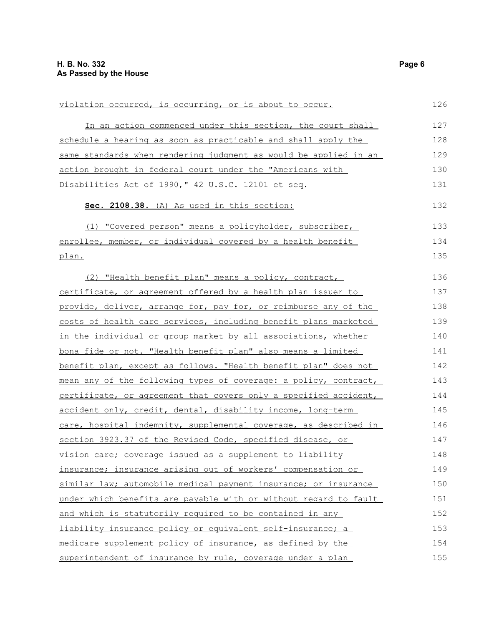| violation occurred, is occurring, or is about to occur.          | 126 |
|------------------------------------------------------------------|-----|
| In an action commenced under this section, the court shall       | 127 |
| schedule a hearing as soon as practicable and shall apply the    | 128 |
| same standards when rendering judgment as would be applied in an | 129 |
| action brought in federal court under the "Americans with        | 130 |
| Disabilities Act of 1990," 42 U.S.C. 12101 et seq.               | 131 |
| Sec. 2108.38. (A) As used in this section:                       | 132 |
| (1) "Covered person" means a policyholder, subscriber,           | 133 |
| enrollee, member, or individual covered by a health benefit      | 134 |
| plan.                                                            | 135 |
| (2) "Health benefit plan" means a policy, contract,              | 136 |
| certificate, or agreement offered by a health plan issuer to     | 137 |
| provide, deliver, arrange for, pay for, or reimburse any of the  | 138 |
| costs of health care services, including benefit plans marketed  | 139 |
| in the individual or group market by all associations, whether   | 140 |
| bona fide or not. "Health benefit plan" also means a limited     | 141 |
| benefit plan, except as follows. "Health benefit plan" does not  | 142 |
| mean any of the following types of coverage: a policy, contract, | 143 |
| certificate, or agreement that covers only a specified accident, | 144 |
| accident only, credit, dental, disability income, long-term      | 145 |
| care, hospital indemnity, supplemental coverage, as described in | 146 |
| section 3923.37 of the Revised Code, specified disease, or       | 147 |
| vision care; coverage issued as a supplement to liability        | 148 |
| insurance; insurance arising out of workers' compensation or     | 149 |
| similar law; automobile medical payment insurance; or insurance  | 150 |
| under which benefits are payable with or without regard to fault | 151 |
| and which is statutorily required to be contained in any         | 152 |
| liability insurance policy or equivalent self-insurance; a       | 153 |
| medicare supplement policy of insurance, as defined by the       | 154 |
| superintendent of insurance by rule, coverage under a plan       | 155 |